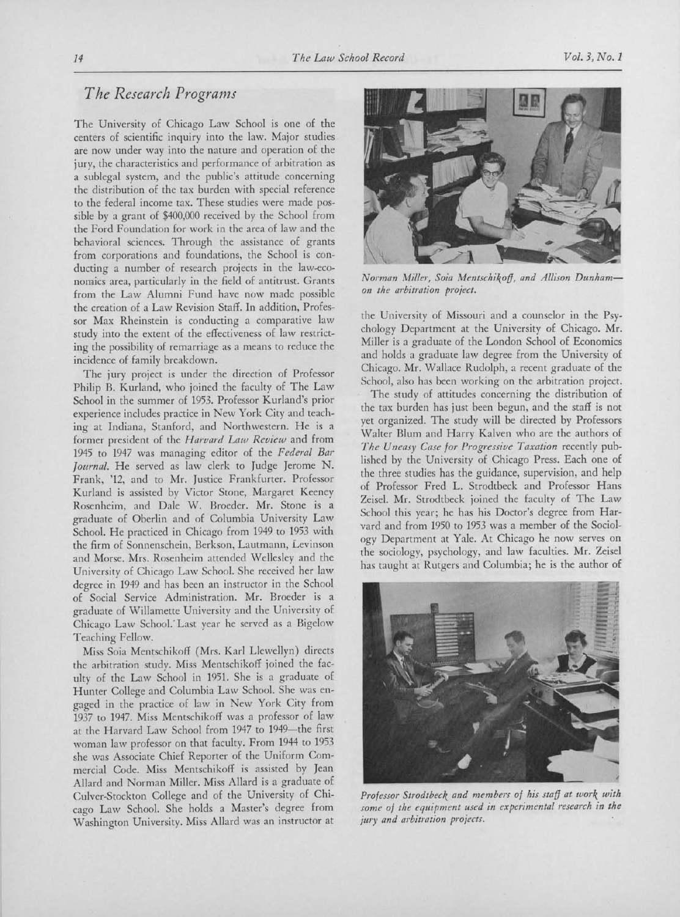## The Research Programs

The University of Chicago Law School is one of the centers of scientific inquiry into the law. Major studies are now under way into the nature and operation of the jury, the characteristics and performance of arbitration as <sup>a</sup> sublegal system, and the public's attitude concerning the distribution of the tax burden with special reference to the federal income tax. These studies were made possible by <sup>a</sup> grant of \$400,000 received by the School from the Ford Foundation for work in the area of law and the behavioral sciences. Through the assistance of grants from corporations and foundations, the School is conducting <sup>a</sup> number of research projects in the law-economics area, particularly in the field of antitrust. Grants from the Law Alumni Fund have now made possible the creation of <sup>a</sup> Law Revision Staff. In addition, Professor Max Rheinstein is conducting <sup>a</sup> comparative law study into the extent of the effectiveness of law restricting the possibility of remarriage as <sup>a</sup> means to reduce the incidence of family breakdown.

The jury project is under the direction of Professor Philip B. Kurland, who joined the faculty of The Law School in the summer of 1953. Professor Kurland's prior experience includes practice in New York City and teaching at Indiana, Stanford, and Northwestern. He is <sup>a</sup> former president of the Harvard Law Review and from <sup>1945</sup> to <sup>1947</sup> was managing editor of the Federal Bar Journal. He served as law clerk to Judge Jerome N. Frank, '12, and to Mr. Justice Frankfurter. Professor Kurland is assisted by Victor Stone, Margaret Keeney Rosenheim, and Dale W. Broeder. Mr. Stone is <sup>a</sup> graduate of Oberlin and of Columbia University Law School. He practiced in Chicago from <sup>1949</sup> to <sup>1953</sup> with the firm of Sonnenschein, Berkson, Lautmann, Levinson and Morse. Mrs. Rosenheim attended Wellesley and the University of Chicago Law School. She received her law degree in <sup>1949</sup> and has been an instructor in the School of Social Service Administration. Mr. Broeder is <sup>a</sup> graduate of Willamette University and the University of Chicago Law School. Last year he served as a Bigelow Teaching Fellow.

Miss Soia Mentschikoff (Mrs. Karl Llewellyn) directs the arbitration study. Miss Mentschikoff joined the faculty of the Law School in 1951. She is <sup>a</sup> graduate of Hunter College and Columbia Law School. She was engaged in the practice of law in New York City from <sup>1937</sup> to 1947. Miss Mentschikoff was <sup>a</sup> professor of law at the Harvard Law School from <sup>1947</sup> to 1949-the first woman law professor on that faculty. From 1944 to 1953 she was Associate Chief Reporter of the Uniform Commercial Code. Miss Mentschikoff is assisted by Jean Allard and Norman Miller. Miss Allard is <sup>a</sup> graduate of Culver-Stockton College and of the University of Chicago Law School. She holds <sup>a</sup> Master's degree from Washington University. Miss Allard was an instructor at



Norman Miller, Soia Mentschikoff, and Allison Dunhamon the arbitration project.

the University of Missouri and <sup>a</sup> counselor in the Psychology Department at the University of Chicago. Mr. Miller is <sup>a</sup> graduate of the London School of Economics and holds <sup>a</sup> graduate law degree from the University of Chicago. Mr. Wallace Rudolph, <sup>a</sup> recent graduate of the School, also has been working on the arbitration project.

The study of attitudes concerning the distribution of the tax burden has just been begun, and the staff is not yet organized. The study will be directed by Professors Walter Blum and Harry Kalven who are the authors of The Uneasy Case for Progressive Taxation recently published by the University of Chicago Press. Each one of the three studies has the guidance, supervision, and help of Professor Fred L. Strodtbeck and Professor Hans Zeisel. Mr. Strodtbeck joined the faculty of The Law School this year; he has his Doctor's degree from Harvard and from 1950 to 1953 was <sup>a</sup> member of the Sociology Department at Yale. At Chicago he now serves on the sociology, psychology, and law faculties. Mr. Zeisel has taught at Rutgers and Columbia; he is the author of



Professor Strodtbcck and members of his staff at work with some of the equipment used in experimental research in the jury and arbitration projects.